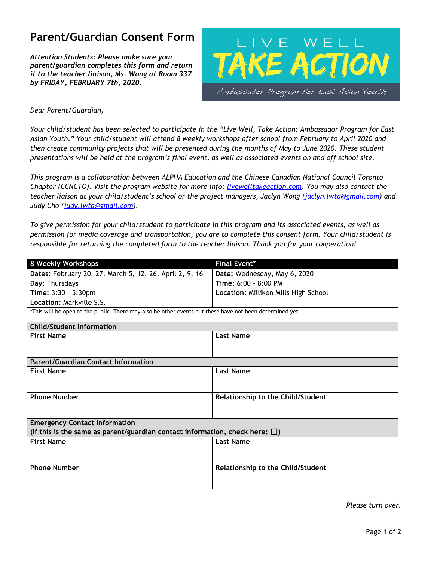# **Parent/Guardian Consent Form**

*Attention Students: Please make sure your parent/guardian completes this form and return it to the teacher liaison, Ms. Wong at Room 337 by FRIDAY, FEBRUARY 7th, 2020.*



### *Dear Parent/Guardian,*

Your child/student has been selected to participate in the "Live Well, Take Action: Ambassador Program for East Asian Youth." Your child/student will attend 8 weekly workshops after school from February to April 2020 and then create community projects that will be presented during the months of May to June 2020. These student presentations will be held at the program's final event, as well as associated events on and off school site.

*This program is a collaboration between ALPHA Education and the Chinese Canadian National Council Toronto Chapter (CCNCTO). Visit the program website for more info: livewelltakeaction.com. You may also contact the teacher liaison at your child/student's school or the project managers, Jaclyn Wong ([jaclyn.lwta@gmail.com\)](mailto:jaclyn.lwta@gmail.com) and Judy Cho ([judy.lwta@gmail.com\)](mailto:judy.lwta@gmail.com).*

To give permission for your child/student to participate in this program and its associated events, as well as *permission for media coverage and transportation, you are to complete this consent form. Your child/student is responsible for returning the completed form to the teacher liaison. Thank you for your cooperation!*

| 8 Weekly Workshops                                      | <b>Final Event*</b>                  |
|---------------------------------------------------------|--------------------------------------|
| Dates: February 20, 27, March 5, 12, 26, April 2, 9, 16 | Date: Wednesday, May 6, 2020         |
| Day: Thursdays                                          | Time: 6:00 - 8:00 PM                 |
| <b>Time:</b> $3:30 - 5:30$ pm                           | Location: Milliken Mills High School |
| <b>Location: Markville S.S.</b>                         |                                      |

\*This will be open to the public. There may also be other events but these have not been determined yet.

| <b>Child/Student Information</b>                                                     |                                   |  |
|--------------------------------------------------------------------------------------|-----------------------------------|--|
| <b>First Name</b>                                                                    | <b>Last Name</b>                  |  |
|                                                                                      |                                   |  |
|                                                                                      |                                   |  |
| <b>Parent/Guardian Contact Information</b>                                           |                                   |  |
| <b>First Name</b>                                                                    | <b>Last Name</b>                  |  |
|                                                                                      |                                   |  |
|                                                                                      |                                   |  |
| <b>Phone Number</b>                                                                  | Relationship to the Child/Student |  |
|                                                                                      |                                   |  |
|                                                                                      |                                   |  |
| <b>Emergency Contact Information</b>                                                 |                                   |  |
| (If this is the same as parent/guardian contact information, check here: $\square$ ) |                                   |  |
| <b>First Name</b>                                                                    | <b>Last Name</b>                  |  |
|                                                                                      |                                   |  |
|                                                                                      |                                   |  |
| <b>Phone Number</b>                                                                  | Relationship to the Child/Student |  |
|                                                                                      |                                   |  |
|                                                                                      |                                   |  |
|                                                                                      |                                   |  |

*Please turn over.*